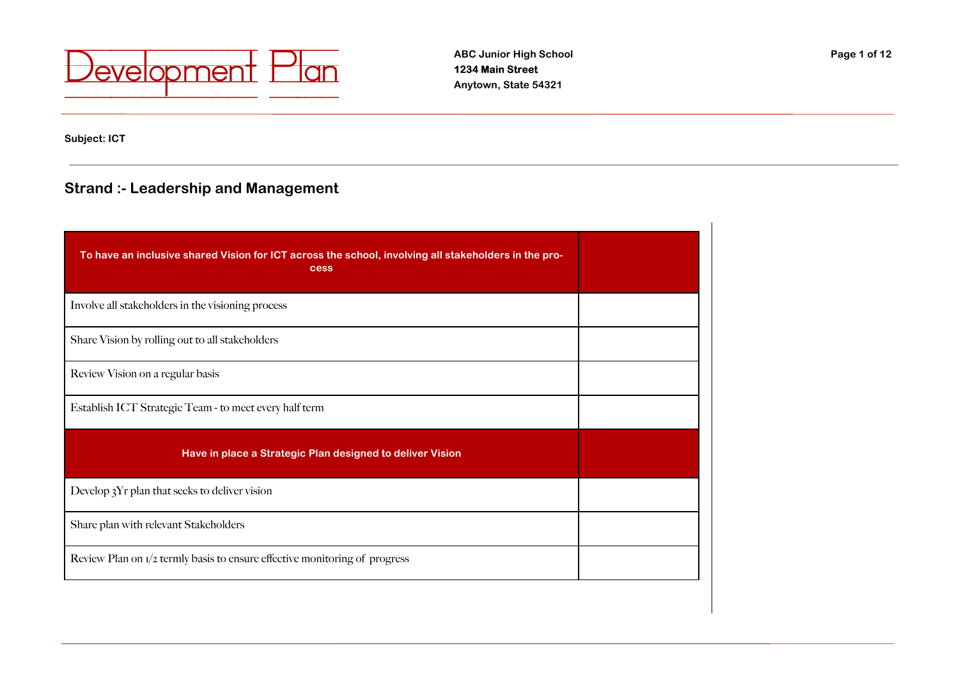

**Subject: ICT**

# **Strand :- Leadership and Management**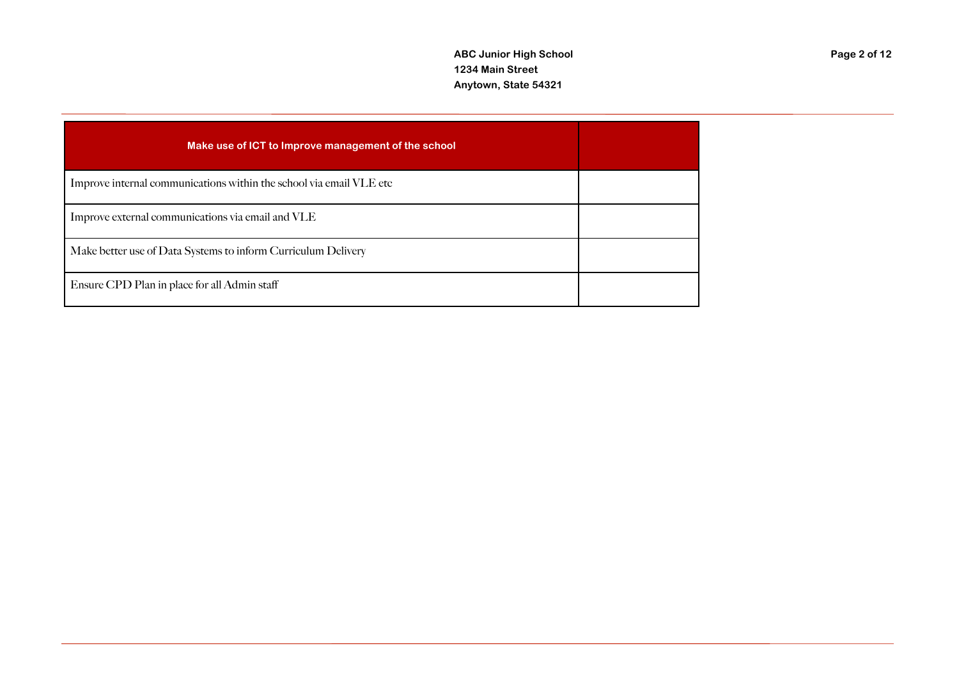| Make use of ICT to Improve management of the school                 |  |
|---------------------------------------------------------------------|--|
| Improve internal communications within the school via email VLE etc |  |
| Improve external communications via email and VLE                   |  |
| Make better use of Data Systems to inform Curriculum Delivery       |  |
| Ensure CPD Plan in place for all Admin staff                        |  |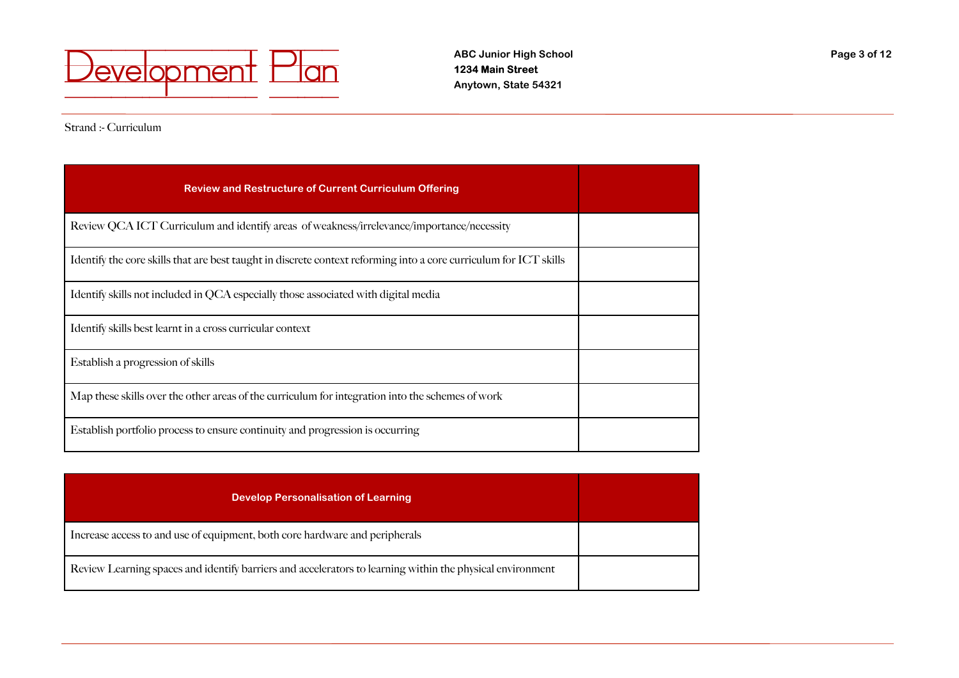

Strand :- Curriculum

| <b>Review and Restructure of Current Curriculum Offering</b>                                                      |  |
|-------------------------------------------------------------------------------------------------------------------|--|
| Review QCA ICT Curriculum and identify areas of weakness/irrelevance/importance/necessity                         |  |
| Identify the core skills that are best taught in discrete context reforming into a core curriculum for ICT skills |  |
| Identify skills not included in QCA especially those associated with digital media                                |  |
| Identify skills best learnt in a cross curricular context                                                         |  |
| Establish a progression of skills                                                                                 |  |
| Map these skills over the other areas of the curriculum for integration into the schemes of work                  |  |
| Establish portfolio process to ensure continuity and progression is occurring                                     |  |

| <b>Develop Personalisation of Learning</b>                                                                |  |
|-----------------------------------------------------------------------------------------------------------|--|
| Increase access to and use of equipment, both core hardware and peripherals                               |  |
| Review Learning spaces and identify barriers and accelerators to learning within the physical environment |  |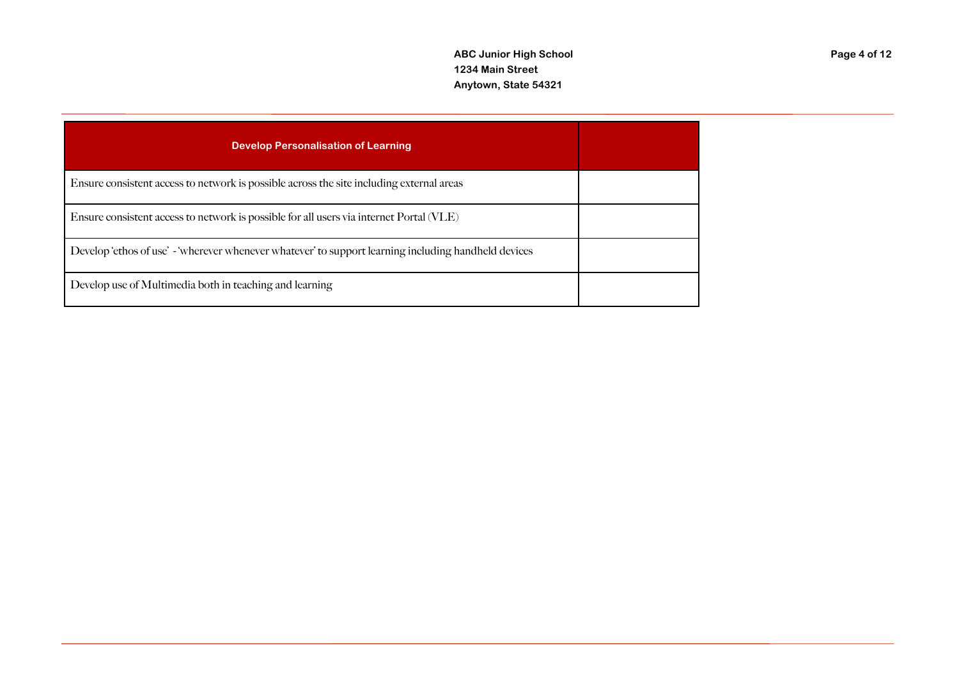| <b>Develop Personalisation of Learning</b>                                                           |  |
|------------------------------------------------------------------------------------------------------|--|
| Ensure consistent access to network is possible across the site including external areas             |  |
| Ensure consistent access to network is possible for all users via internet Portal (VLE)              |  |
| Develop 'ethos of use' - 'wherever whenever whatever' to support learning including handheld devices |  |
| Develop use of Multimedia both in teaching and learning                                              |  |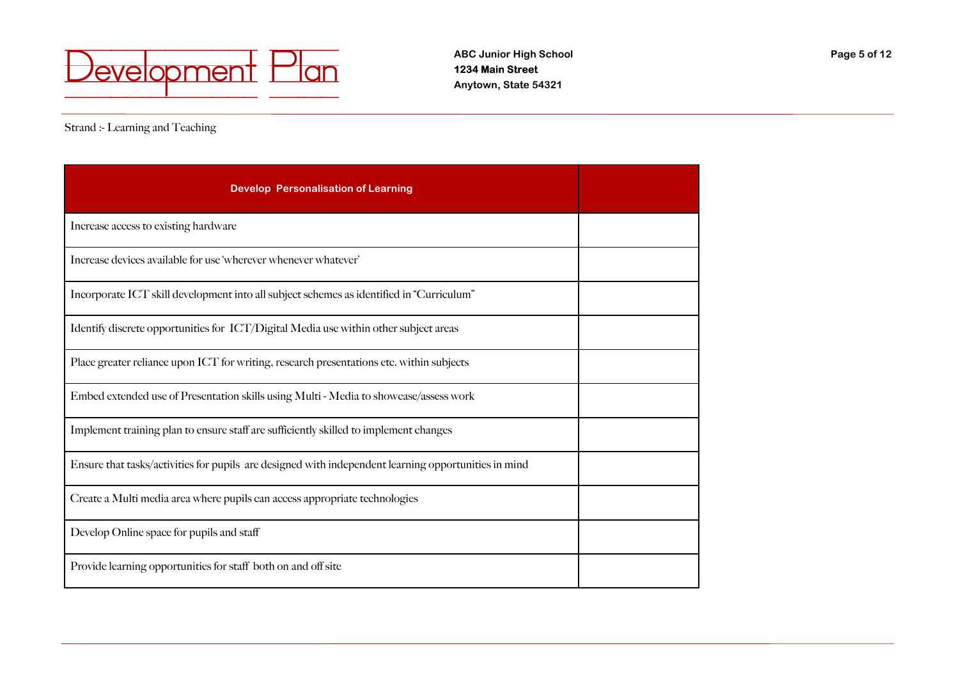

Strand :- Learning and Teaching

| <b>Develop Personalisation of Learning</b>                                                           |  |
|------------------------------------------------------------------------------------------------------|--|
| Increase access to existing hardware                                                                 |  |
| Increase devices available for use 'wherever whenever whatever'                                      |  |
| Incorporate ICT skill development into all subject schemes as identified in "Curriculum"             |  |
| Identify discrete opportunities for ICT/Digital Media use within other subject areas                 |  |
| Place greater reliance upon ICT for writing, research presentations etc. within subjects             |  |
| Embed extended use of Presentation skills using Multi - Media to showcase/assess work                |  |
| Implement training plan to ensure staff are sufficiently skilled to implement changes                |  |
| Ensure that tasks/activities for pupils are designed with independent learning opportunities in mind |  |
| Create a Multi media area where pupils can access appropriate technologies                           |  |
| Develop Online space for pupils and staff                                                            |  |
| Provide learning opportunities for staff both on and off site                                        |  |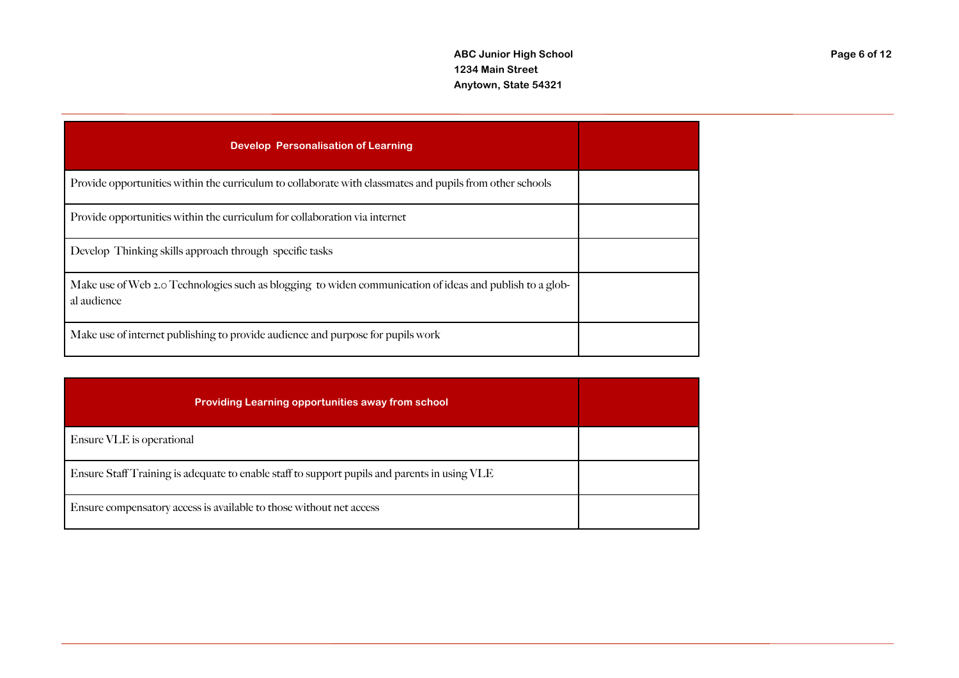| <b>Develop Personalisation of Learning</b>                                                                              |  |
|-------------------------------------------------------------------------------------------------------------------------|--|
| Provide opportunities within the curriculum to collaborate with classmates and pupils from other schools                |  |
| Provide opportunities within the curriculum for collaboration via internet                                              |  |
| Develop Thinking skills approach through specific tasks                                                                 |  |
| Make use of Web 2.0 Technologies such as blogging to widen communication of ideas and publish to a glob-<br>al audience |  |
| Make use of internet publishing to provide audience and purpose for pupils work                                         |  |

| <b>Providing Learning opportunities away from school</b>                                     |  |
|----------------------------------------------------------------------------------------------|--|
| Ensure VLE is operational                                                                    |  |
| Ensure Staff Training is adequate to enable staff to support pupils and parents in using VLE |  |
| Ensure compensatory access is available to those without net access                          |  |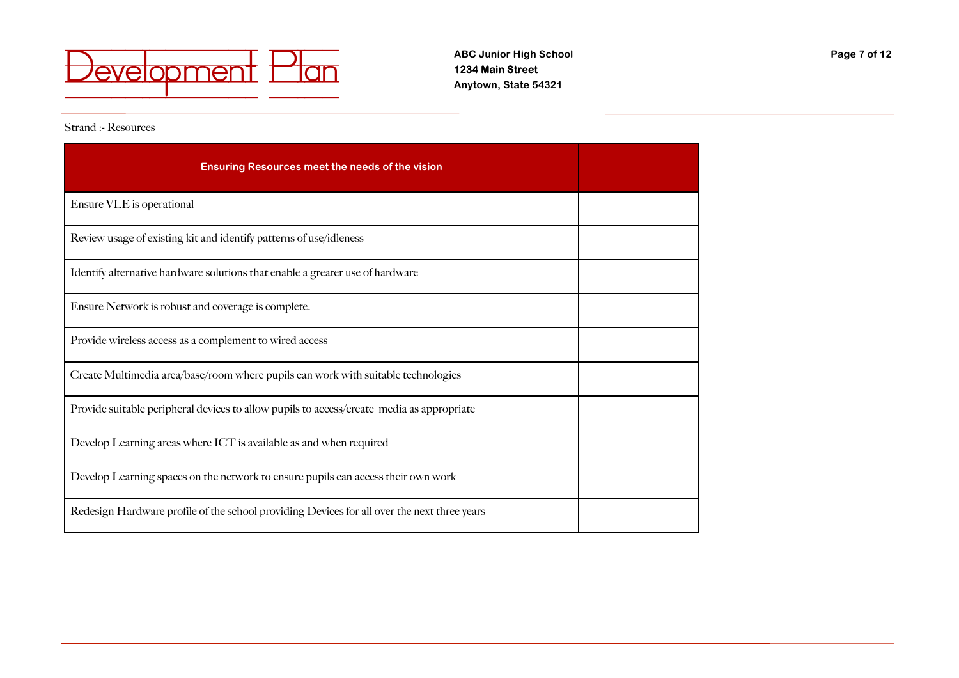

Strand :- Resources

| <b>Ensuring Resources meet the needs of the vision</b>                                      |  |
|---------------------------------------------------------------------------------------------|--|
| Ensure VLE is operational                                                                   |  |
| Review usage of existing kit and identify patterns of use/idleness                          |  |
| Identify alternative hardware solutions that enable a greater use of hardware               |  |
| Ensure Network is robust and coverage is complete.                                          |  |
| Provide wireless access as a complement to wired access                                     |  |
| Create Multimedia area/base/room where pupils can work with suitable technologies           |  |
| Provide suitable peripheral devices to allow pupils to access/create media as appropriate   |  |
| Develop Learning areas where ICT is available as and when required                          |  |
| Develop Learning spaces on the network to ensure pupils can access their own work           |  |
| Redesign Hardware profile of the school providing Devices for all over the next three years |  |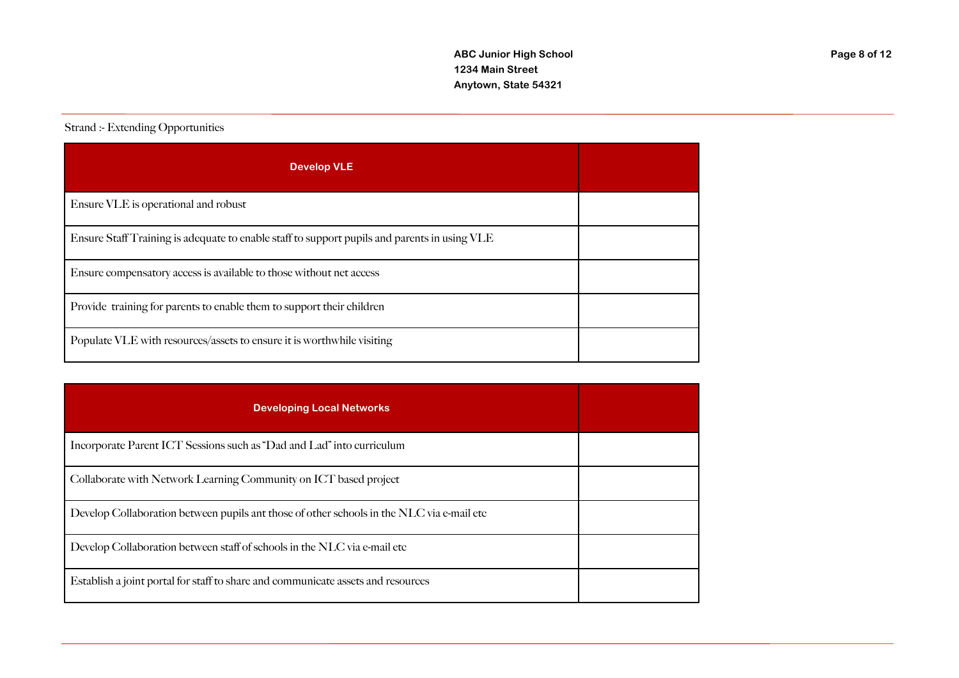## Strand :- Extending Opportunities

| <b>Develop VLE</b>                                                                           |  |
|----------------------------------------------------------------------------------------------|--|
| Ensure VLE is operational and robust                                                         |  |
| Ensure Staff Training is adequate to enable staff to support pupils and parents in using VLE |  |
| Ensure compensatory access is available to those without net access                          |  |
| Provide training for parents to enable them to support their children                        |  |
| Populate VLE with resources/assets to ensure it is worthwhile visiting                       |  |

| <b>Developing Local Networks</b>                                                          |  |
|-------------------------------------------------------------------------------------------|--|
| Incorporate Parent ICT Sessions such as "Dad and Lad" into curriculum                     |  |
| Collaborate with Network Learning Community on ICT based project                          |  |
| Develop Collaboration between pupils ant those of other schools in the NLC via e-mail etc |  |
| Develop Collaboration between staff of schools in the NLC via e-mail etc                  |  |
| Establish a joint portal for staff to share and communicate assets and resources          |  |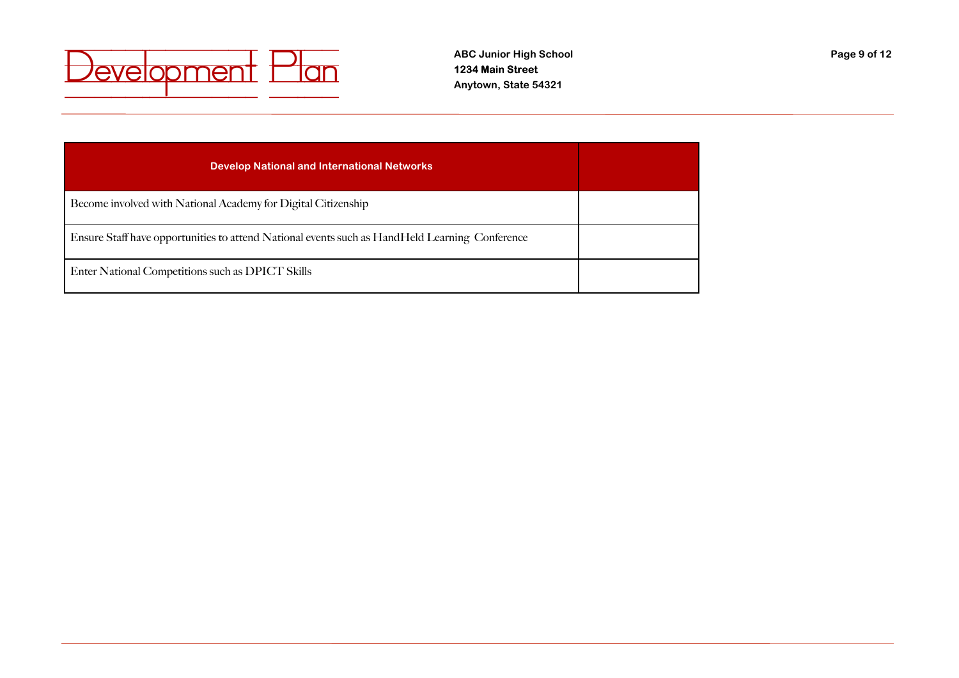

| <b>Develop National and International Networks</b>                                             |  |
|------------------------------------------------------------------------------------------------|--|
| Become involved with National Academy for Digital Citizenship                                  |  |
| Ensure Staff have opportunities to attend National events such as HandHeld Learning Conference |  |
| Enter National Competitions such as DPICT Skills                                               |  |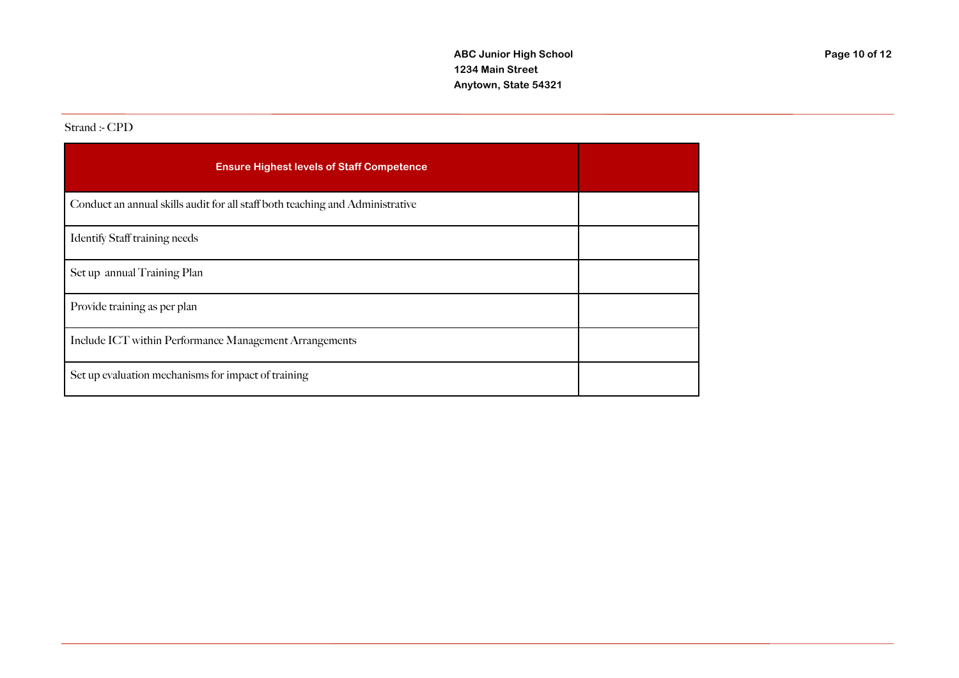#### Strand :- CPD

| <b>Ensure Highest levels of Staff Competence</b>                              |  |
|-------------------------------------------------------------------------------|--|
| Conduct an annual skills audit for all staff both teaching and Administrative |  |
| <b>Identify Staff training needs</b>                                          |  |
| Set up annual Training Plan                                                   |  |
| Provide training as per plan                                                  |  |
| Include ICT within Performance Management Arrangements                        |  |
| Set up evaluation mechanisms for impact of training                           |  |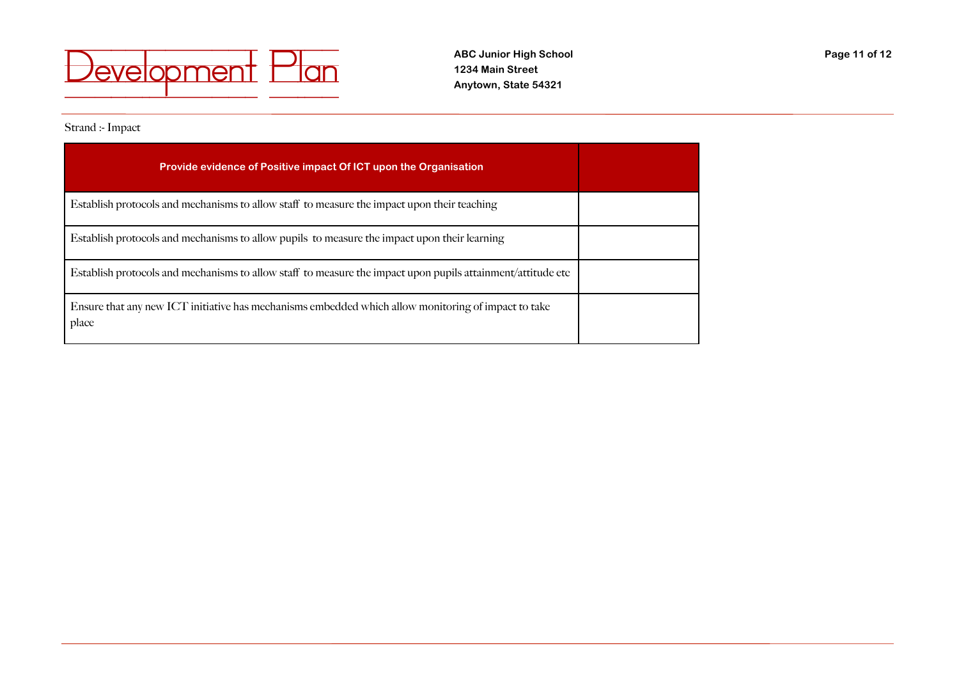

### Strand :- Impact

| Provide evidence of Positive impact Of ICT upon the Organisation                                             |  |
|--------------------------------------------------------------------------------------------------------------|--|
| Establish protocols and mechanisms to allow staff to measure the impact upon their teaching                  |  |
| Establish protocols and mechanisms to allow pupils to measure the impact upon their learning                 |  |
| Establish protocols and mechanisms to allow staff to measure the impact upon pupils attainment/attitude etc  |  |
| Ensure that any new ICT initiative has mechanisms embedded which allow monitoring of impact to take<br>place |  |